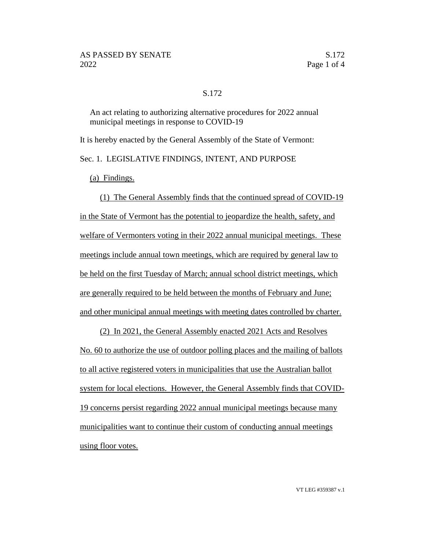## S.172

An act relating to authorizing alternative procedures for 2022 annual municipal meetings in response to COVID-19

It is hereby enacted by the General Assembly of the State of Vermont:

Sec. 1. LEGISLATIVE FINDINGS, INTENT, AND PURPOSE

(a) Findings.

(1) The General Assembly finds that the continued spread of COVID-19 in the State of Vermont has the potential to jeopardize the health, safety, and welfare of Vermonters voting in their 2022 annual municipal meetings. These meetings include annual town meetings, which are required by general law to be held on the first Tuesday of March; annual school district meetings, which are generally required to be held between the months of February and June; and other municipal annual meetings with meeting dates controlled by charter.

(2) In 2021, the General Assembly enacted 2021 Acts and Resolves No. 60 to authorize the use of outdoor polling places and the mailing of ballots to all active registered voters in municipalities that use the Australian ballot system for local elections. However, the General Assembly finds that COVID-19 concerns persist regarding 2022 annual municipal meetings because many municipalities want to continue their custom of conducting annual meetings using floor votes.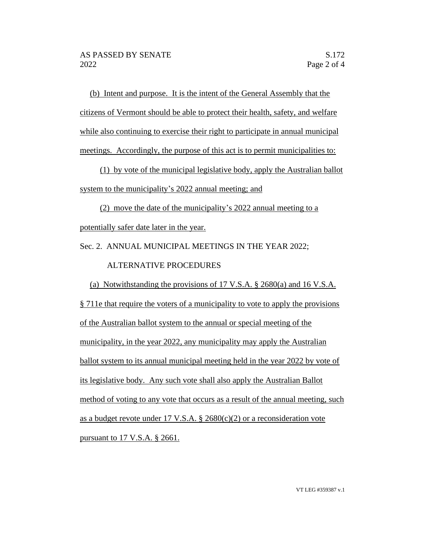(b) Intent and purpose. It is the intent of the General Assembly that the citizens of Vermont should be able to protect their health, safety, and welfare while also continuing to exercise their right to participate in annual municipal meetings. Accordingly, the purpose of this act is to permit municipalities to:

(1) by vote of the municipal legislative body, apply the Australian ballot system to the municipality's 2022 annual meeting; and

(2) move the date of the municipality's 2022 annual meeting to a potentially safer date later in the year.

Sec. 2. ANNUAL MUNICIPAL MEETINGS IN THE YEAR 2022;

## ALTERNATIVE PROCEDURES

(a) Notwithstanding the provisions of 17 V.S.A. § 2680(a) and 16 V.S.A. § 711e that require the voters of a municipality to vote to apply the provisions of the Australian ballot system to the annual or special meeting of the municipality, in the year 2022, any municipality may apply the Australian ballot system to its annual municipal meeting held in the year 2022 by vote of its legislative body. Any such vote shall also apply the Australian Ballot method of voting to any vote that occurs as a result of the annual meeting, such as a budget revote under 17 V.S.A.  $\S$  2680(c)(2) or a reconsideration vote pursuant to 17 V.S.A. § 2661.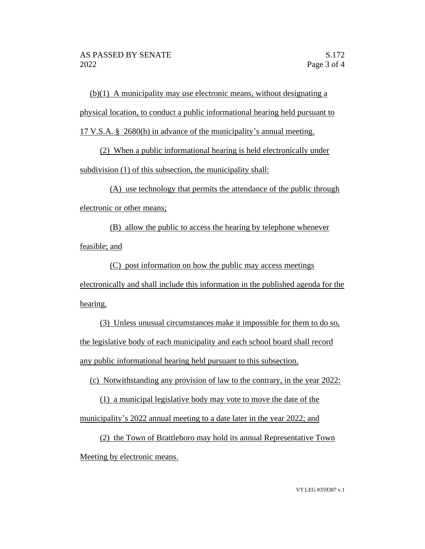(b)(1) A municipality may use electronic means, without designating a physical location, to conduct a public informational hearing held pursuant to 17 V.S.A. § 2680(h) in advance of the municipality's annual meeting.

(2) When a public informational hearing is held electronically under subdivision (1) of this subsection, the municipality shall:

(A) use technology that permits the attendance of the public through electronic or other means;

(B) allow the public to access the hearing by telephone whenever feasible; and

(C) post information on how the public may access meetings electronically and shall include this information in the published agenda for the hearing.

(3) Unless unusual circumstances make it impossible for them to do so, the legislative body of each municipality and each school board shall record any public informational hearing held pursuant to this subsection.

(c) Notwithstanding any provision of law to the contrary, in the year 2022:

(1) a municipal legislative body may vote to move the date of the municipality's 2022 annual meeting to a date later in the year 2022; and

(2) the Town of Brattleboro may hold its annual Representative Town Meeting by electronic means.